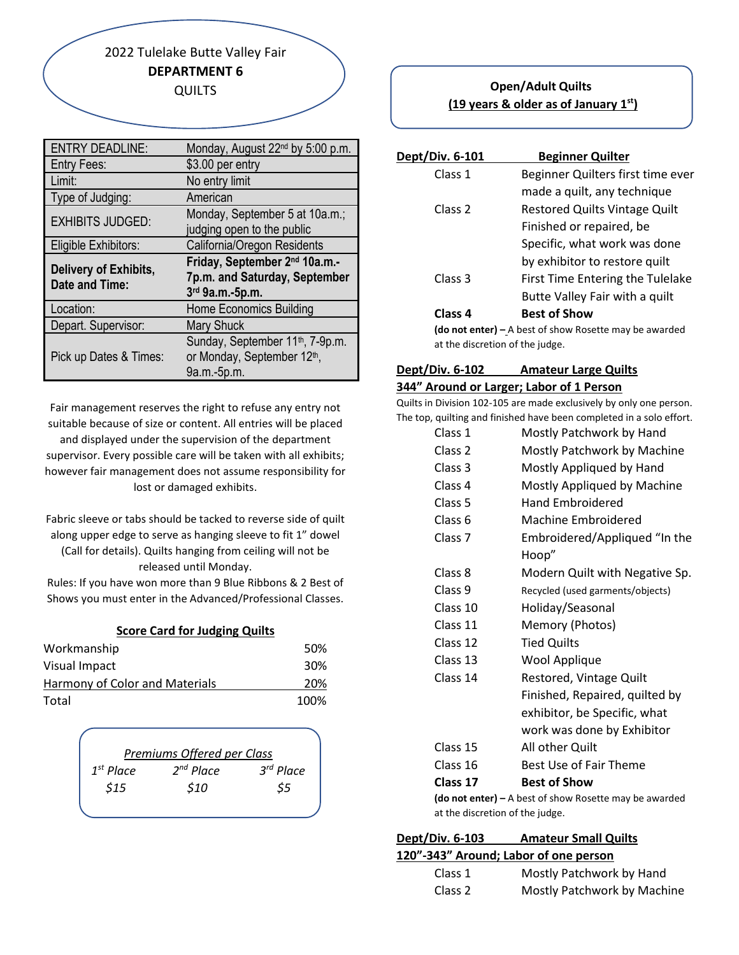2022 Tulelake Butte Valley Fair **DEPARTMENT 6** QUILTS

| <b>ENTRY DEADLINE:</b>  | Monday, August 22 <sup>nd</sup> by 5:00 p.m. |
|-------------------------|----------------------------------------------|
| <b>Entry Fees:</b>      | \$3.00 per entry                             |
| Limit:                  | No entry limit                               |
| Type of Judging:        | American                                     |
| <b>EXHIBITS JUDGED:</b> | Monday, September 5 at 10a.m.;               |
|                         | judging open to the public                   |
| Eligible Exhibitors:    | California/Oregon Residents                  |
|                         |                                              |
|                         | Friday, September 2nd 10a.m.-                |
| Delivery of Exhibits,   | 7p.m. and Saturday, September                |
| <b>Date and Time:</b>   | 3rd 9a.m.-5p.m.                              |
| Location:               | <b>Home Economics Building</b>               |
| Depart. Supervisor:     | <b>Mary Shuck</b>                            |
|                         | Sunday, September 11 <sup>th</sup> , 7-9p.m. |
| Pick up Dates & Times:  | or Monday, September 12th,                   |

Fair management reserves the right to refuse any entry not suitable because of size or content. All entries will be placed and displayed under the supervision of the department supervisor. Every possible care will be taken with all exhibits; however fair management does not assume responsibility for lost or damaged exhibits.

Fabric sleeve or tabs should be tacked to reverse side of quilt along upper edge to serve as hanging sleeve to fit 1" dowel (Call for details). Quilts hanging from ceiling will not be released until Monday.

Rules: If you have won more than 9 Blue Ribbons & 2 Best of Shows you must enter in the Advanced/Professional Classes.

|  | <b>Score Card for Judging Quilts</b> |  |
|--|--------------------------------------|--|
|  |                                      |  |

| Workmanship                    | .50%            |
|--------------------------------|-----------------|
| Visual Impact                  | 30 <sup>%</sup> |
| Harmony of Color and Materials | 20%             |
| Total                          | 100%            |

|                       | Premiums Offered per Class |           |
|-----------------------|----------------------------|-----------|
| 1 <sup>st</sup> Place | $2^{nd}$ Place             | 3rd Place |
| \$15                  | \$10                       | \$5       |
|                       |                            |           |

## **Open/Adult Quilts (19 years & older as of January 1st)**

| Dept/Div. 6-101 | <b>Beginner Quilter</b>                                       |
|-----------------|---------------------------------------------------------------|
| Class 1         | Beginner Quilters first time ever                             |
|                 | made a quilt, any technique                                   |
| Class 2         | <b>Restored Quilts Vintage Quilt</b>                          |
|                 | Finished or repaired, be                                      |
|                 | Specific, what work was done                                  |
|                 | by exhibitor to restore quilt                                 |
| Class 3         | First Time Entering the Tulelake                              |
|                 | Butte Valley Fair with a quilt                                |
| Class 4         | <b>Best of Show</b>                                           |
|                 | <b>(do not enter)</b> – A best of show Rosette may be awarded |

**(do not enter) –** A best of show Rosette may be awarded at the discretion of the judge.

#### **Dept/Div. 6-102 Amateur Large Quilts**

#### **344" Around or Larger; Labor of 1 Person**

Quilts in Division 102-105 are made exclusively by only one person. The top, quilting and finished have been completed in a solo effort.

| Class 1                                                       | Mostly Patchwork by Hand         |  |
|---------------------------------------------------------------|----------------------------------|--|
| Class 2                                                       | Mostly Patchwork by Machine      |  |
| Class 3                                                       | Mostly Appliqued by Hand         |  |
| Class 4                                                       | Mostly Appliqued by Machine      |  |
| Class 5                                                       | <b>Hand Embroidered</b>          |  |
| Class 6                                                       | <b>Machine Embroidered</b>       |  |
| Class <sub>7</sub>                                            | Embroidered/Appliqued "In the    |  |
|                                                               | Hoop"                            |  |
| Class 8                                                       | Modern Quilt with Negative Sp.   |  |
| Class 9                                                       | Recycled (used garments/objects) |  |
| Class 10                                                      | Holiday/Seasonal                 |  |
| Class 11                                                      | Memory (Photos)                  |  |
| Class 12                                                      | <b>Tied Quilts</b>               |  |
| Class 13                                                      | Wool Applique                    |  |
| Class 14                                                      | Restored, Vintage Quilt          |  |
|                                                               | Finished, Repaired, quilted by   |  |
|                                                               | exhibitor, be Specific, what     |  |
|                                                               | work was done by Exhibitor       |  |
| Class 15                                                      | All other Quilt                  |  |
| Class 16                                                      | Best Use of Fair Theme           |  |
| Class 17                                                      | <b>Best of Show</b>              |  |
| <b>(do not enter) – A</b> best of show Rosette may be awarded |                                  |  |

**(do not enter) –** A best of show Rosette may be awarded at the discretion of the judge.

| Dept/Div. 6-103                       | <b>Amateur Small Quilts</b> |  |
|---------------------------------------|-----------------------------|--|
| 120"-343" Around; Labor of one person |                             |  |
| Class 1                               | Mostly Patchwork by Hand    |  |

Class 2 Mostly Patchwork by Machine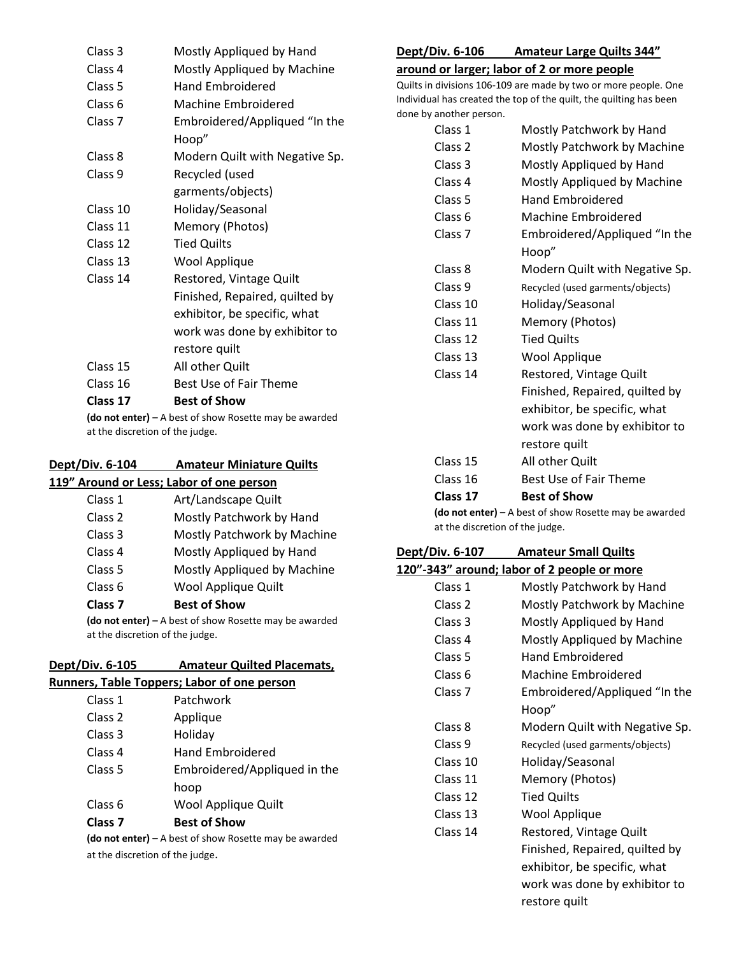| Class <sub>3</sub>                                                   | Mostly Appliqued by Hand       |  |
|----------------------------------------------------------------------|--------------------------------|--|
| Class 4                                                              | Mostly Appliqued by Machine    |  |
| Class 5                                                              | <b>Hand Embroidered</b>        |  |
| Class <sub>6</sub>                                                   | Machine Embroidered            |  |
| Class <sub>7</sub>                                                   | Embroidered/Appliqued "In the  |  |
|                                                                      | Hoop"                          |  |
| Class 8                                                              | Modern Quilt with Negative Sp. |  |
| Class 9                                                              | Recycled (used                 |  |
|                                                                      | garments/objects)              |  |
| Class 10                                                             | Holiday/Seasonal               |  |
| Class 11                                                             | Memory (Photos)                |  |
| Class 12                                                             | <b>Tied Quilts</b>             |  |
| Class 13                                                             | Wool Applique                  |  |
| Class 14                                                             | Restored, Vintage Quilt        |  |
|                                                                      | Finished, Repaired, quilted by |  |
|                                                                      | exhibitor, be specific, what   |  |
|                                                                      | work was done by exhibitor to  |  |
|                                                                      | restore quilt                  |  |
| Class 15                                                             | All other Quilt                |  |
| Class 16                                                             | Best Use of Fair Theme         |  |
| Class 17                                                             | <b>Best of Show</b>            |  |
| $(d\rho$ not enter $l - \Lambda$ hest of show Rosette may be awarded |                                |  |

**lo not enter) –** A best of show Rosette may be awarded at the discretion of the judge.

#### **Dept/Div. 6-104 Amateur Miniature Quilts 119" Around or Less; Labor of one person**

| Class <sub>7</sub> | <b>Best of Show</b>         |
|--------------------|-----------------------------|
| Class <sub>6</sub> | Wool Applique Quilt         |
| Class <sub>5</sub> | Mostly Appliqued by Machine |
| Class 4            | Mostly Appliqued by Hand    |
| Class 3            | Mostly Patchwork by Machine |
| Class 2            | Mostly Patchwork by Hand    |
| Class 1            | Art/Landscape Quilt         |
|                    |                             |

**(do not enter) –** A best of show Rosette may be awarded at the discretion of the judge.

| Dept/Div. 6-105 | <b>Amateur Quilted Placemats,</b>           |
|-----------------|---------------------------------------------|
|                 | Runners, Table Toppers; Labor of one person |

| Class <sub>7</sub> | <b>Best of Show</b>          |
|--------------------|------------------------------|
| Class 6            | hoop<br>Wool Applique Quilt  |
| Class 5            | Embroidered/Appliqued in the |
| Class 4            | <b>Hand Embroidered</b>      |
| Class 3            | Holiday                      |
| Class <sub>2</sub> | Applique                     |
| Class 1            | Patchwork                    |
|                    |                              |

**(do not enter) –** A best of show Rosette may be awarded at the discretion of the judge.

# **Dept/Div. 6-106 Amateur Large Quilts 344"**

### **around or larger; labor of 2 or more people**

Quilts in divisions 106-109 are made by two or more people. One Individual has created the top of the quilt, the quilting has been done by another person.

| Mostly Patchwork by Hand               |
|----------------------------------------|
| Mostly Patchwork by Machine            |
| Mostly Appliqued by Hand               |
|                                        |
| Mostly Appliqued by Machine            |
| <b>Hand Embroidered</b>                |
| <b>Machine Embroidered</b>             |
| Embroidered/Appliqued "In the<br>Hoop" |
| Modern Quilt with Negative Sp.         |
| Recycled (used garments/objects)       |
| Holiday/Seasonal                       |
| Memory (Photos)                        |
| <b>Tied Quilts</b>                     |
| Wool Applique                          |
| Restored, Vintage Quilt                |
| Finished, Repaired, quilted by         |
| exhibitor, be specific, what           |
| work was done by exhibitor to          |
| restore quilt                          |
| All other Quilt                        |
| Best Use of Fair Theme                 |
| <b>Best of Show</b>                    |
|                                        |

**(do not enter) –** A best of show Rosette may be awarded at the discretion of the judge.

# **Dept/Div. 6-107 Amateur Small Quilts**

## **120"-343" around; labor of 2 people or more**

| Class 1            | Mostly Patchwork by Hand         |
|--------------------|----------------------------------|
| Class 2            | Mostly Patchwork by Machine      |
| Class 3            | Mostly Appliqued by Hand         |
| Class 4            | Mostly Appliqued by Machine      |
| Class 5            | <b>Hand Embroidered</b>          |
| Class 6            | Machine Embroidered              |
| Class <sub>7</sub> | Embroidered/Appliqued "In the    |
|                    | Hoop"                            |
| Class 8            | Modern Quilt with Negative Sp.   |
| Class 9            | Recycled (used garments/objects) |
| Class 10           | Holiday/Seasonal                 |
| Class 11           | Memory (Photos)                  |
| Class 12           | <b>Tied Quilts</b>               |
| Class 13           | Wool Applique                    |
| Class 14           | Restored, Vintage Quilt          |
|                    | Finished, Repaired, quilted by   |
|                    | exhibitor, be specific, what     |
|                    | work was done by exhibitor to    |
|                    | restore quilt                    |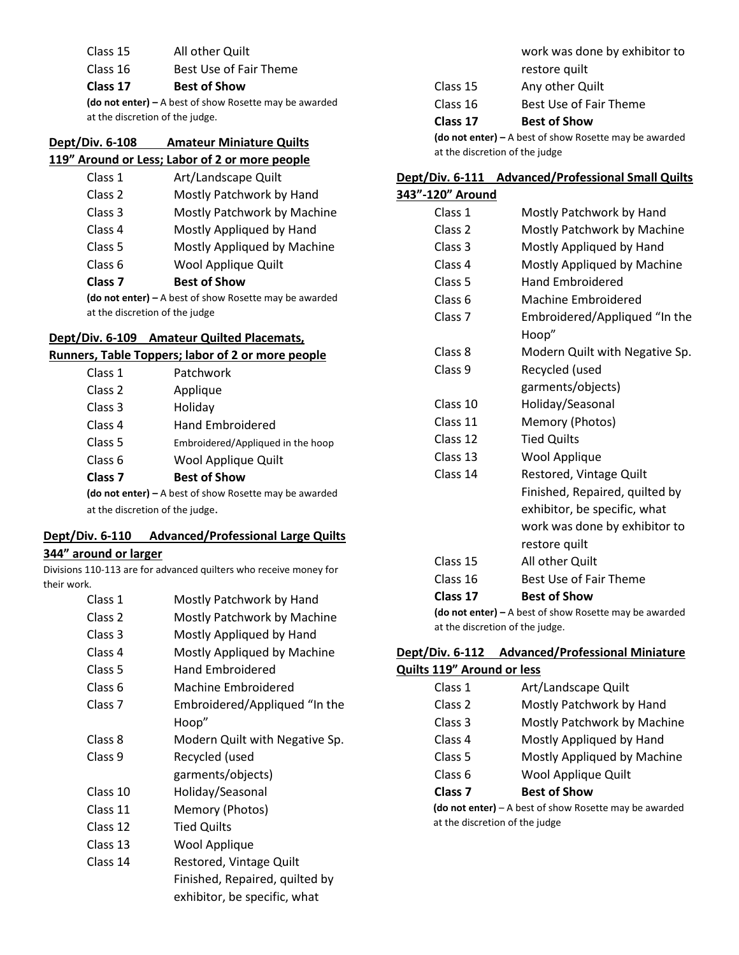Class 15 All other Quilt

Class 16 Best Use of Fair Theme

#### **Class 17 Best of Show**

**(do not enter) –** A best of show Rosette may be awarded at the discretion of the judge.

# **Dept/Div. 6-108 Amateur Miniature Quilts**

## **119" Around or Less; Labor of 2 or more people**

| Class <sub>7</sub> | <b>Best of Show</b>         |
|--------------------|-----------------------------|
| Class 6            | Wool Applique Quilt         |
| Class <sub>5</sub> | Mostly Appliqued by Machine |
| Class 4            | Mostly Appliqued by Hand    |
| Class 3            | Mostly Patchwork by Machine |
| Class 2            | Mostly Patchwork by Hand    |
| Class 1            | Art/Landscape Quilt         |

**(do not enter) –** A best of show Rosette may be awarded at the discretion of the judge

#### **Dept/Div. 6-109 Amateur Quilted Placemats,**

### **Runners, Table Toppers; labor of 2 or more people**

| Class 1                                                  | Patchwork                         |
|----------------------------------------------------------|-----------------------------------|
| Class 2                                                  | Applique                          |
| Class 3                                                  | Holiday                           |
| Class 4                                                  | <b>Hand Embroidered</b>           |
| Class 5                                                  | Embroidered/Appliqued in the hoop |
| Class 6                                                  | Wool Applique Quilt               |
| Class <sub>7</sub>                                       | <b>Best of Show</b>               |
| (do not enter) $-$ A best of show Rosette may be awarded |                                   |
| at the discretion of the judge.                          |                                   |

# **Dept/Div. 6-110 Advanced/Professional Large Quilts**

#### **344" around or larger**

Divisions 110-113 are for advanced quilters who receive money for their work.

| Class 1            | Mostly Patchwork by Hand       |
|--------------------|--------------------------------|
| Class <sub>2</sub> | Mostly Patchwork by Machine    |
| Class 3            | Mostly Appliqued by Hand       |
| Class 4            | Mostly Appliqued by Machine    |
| Class 5            | <b>Hand Embroidered</b>        |
| Class 6            | Machine Embroidered            |
| Class <sub>7</sub> | Embroidered/Appliqued "In the  |
|                    | Hoop"                          |
| Class 8            | Modern Quilt with Negative Sp. |
| Class 9            | Recycled (used                 |
|                    | garments/objects)              |
| Class 10           | Holiday/Seasonal               |
| Class 11           | Memory (Photos)                |
| Class 12           | <b>Tied Quilts</b>             |
| Class 13           | Wool Applique                  |
| Class 14           | Restored, Vintage Quilt        |
|                    | Finished, Repaired, quilted by |
|                    | exhibitor, be specific, what   |

work was done by exhibitor to restore quilt

- Class 15 Any other Quilt
- Class 16 Best Use of Fair Theme

#### **Class 17 Best of Show**

**(do not enter) –** A best of show Rosette may be awarded at the discretion of the judge

## **Dept/Div. 6-111 Advanced/Professional Small Quilts**

| Mostly Patchwork by Hand       |
|--------------------------------|
| Mostly Patchwork by Machine    |
| Mostly Appliqued by Hand       |
| Mostly Appliqued by Machine    |
| <b>Hand Embroidered</b>        |
| Machine Embroidered            |
| Embroidered/Appliqued "In the  |
| Hoop"                          |
| Modern Quilt with Negative Sp. |
| Recycled (used                 |
| garments/objects)              |
| Holiday/Seasonal               |
| Memory (Photos)                |
| <b>Tied Quilts</b>             |
| Wool Applique                  |
| Restored, Vintage Quilt        |
| Finished, Repaired, quilted by |
| exhibitor, be specific, what   |
| work was done by exhibitor to  |
| restore quilt                  |
| All other Quilt                |
| Best Use of Fair Theme         |
| <b>Best of Show</b>            |
|                                |

**(do not enter) –** A best of show Rosette may be awarded at the discretion of the judge.

#### **Dept/Div. 6-112 Advanced/Professional Miniature Quilts 119" Around or less**

| Class 1                                                      | Art/Landscape Quilt         |
|--------------------------------------------------------------|-----------------------------|
| Class <sub>2</sub>                                           | Mostly Patchwork by Hand    |
| Class <sub>3</sub>                                           | Mostly Patchwork by Machine |
| Class 4                                                      | Mostly Appliqued by Hand    |
| Class 5                                                      | Mostly Appliqued by Machine |
| Class 6                                                      | Wool Applique Quilt         |
| Class <sub>7</sub>                                           | <b>Best of Show</b>         |
| $($ do not enter $)$ – A hest of show Rosette may be awarded |                             |

 **(do not enter)** – A best of show Rosette may be awarded at the discretion of the judge